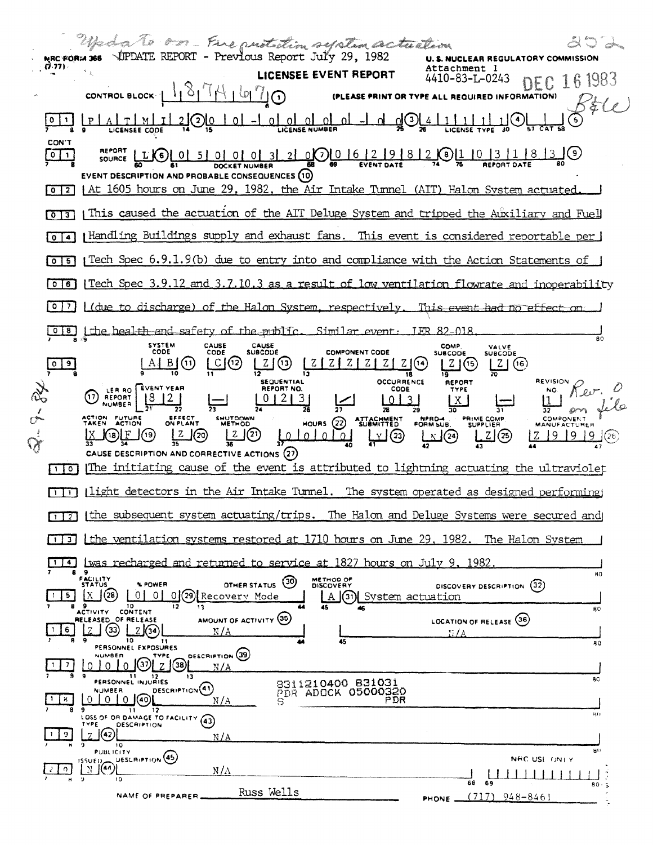Wedg to on Fire put time system actuation 202 MRC FORM 366 VUPDATE REPORT - Previous Report July 29, 1982 **U.S. NUCLEAR REGULATORY COMMISSION**  $(7.77)$ Attachment 1 LICENSEE EVENT REPORT DEC 16 1983 4410-83-L-0243  $N'$ ا $N'$  |  $N'$  |  $N'$ CONTROL BLOCK (PLEASE PRINT OR TYPE ALL REQUIRED INFORMATION)  $5\,$ ile <u>gOL4 | 1 | 1</u> |  $A[T]$   $M[T]$  $-$  0 0 0 0  $\overline{a}$  $1(4)$ जतिकि ग  $\Omega$  $\left( \circ \right)$  $|0|1$ Ωl <u>u</u> LICENSEE CODE LICENSE NUMBER LICENSE CON'T **REPORT** 0000 16 2 9 8 2 4 6 1 1 0 3 1 8 3 9  $\sqrt{2}$  $Sensure$   $L[G]$  0 5 0 0 0 0 3 <u>21</u> DOCKET NUMBER EVENT DESCRIPTION AND PROBABLE CONSEQUENCES (10) [0] 2] At 1605 hours on June 29, 1982, the Air Intake Tunnel (AIT) Halon System actuated [0] [3] This caused the actuation of the AIT Deluge System and tripped the Auxiliary and Fuel [0]4] Handling Buildings supply and exhaust fans. This event is considered reportable per [0]6] [Tech Spec 3.9.12 and 3.7.10.3 as a result of low ventilation flowrate and inoperability  $\sqrt{0}$ (due to discharge) of the Halon System, respectively. This event had no effect Similar event: 018 Lihe health and safety of the public. **IER 82-018**  $\overline{80}$ SYSTEM<br>CODE CAUSE<br>CODE CAUSE<br>SUBCODE **COMP** VALVE<br>SUBCODE **COMPONENT CODE** SUBCODE  $\frac{1}{2}$  $A \uplus (n)$  $\lfloor C \rfloor (12)$  $Z \mid Z \mid Z \mid$  $Z(G)$  $Z(5)$ z I  $\left[ 2 \right]$  (6) ū īŔ **SEQUENTIAL OCCURRENCE REVISION REPORT** LER RO EVENT YEAR REPORT NO Kev. CODE TYPE NO. (1) REPORT  $01213$ لكيا  $\lfloor 0 \rfloor$  $\overline{3}$  $\lfloor x \rfloor$ 37 78 EFFECT<br>ON PLANT SHUTDOWN<br>METHOD PRIME COMP.<br>SUPPLIER **COMPONENT** ACTION FUTURE **ATTACHMENT** NPRD-4<br>FORM SUB. HOURS  $(22)$ **MANUFACTUREF** يقلقان - بن  $2(20)$ <u>4x12</u> <u>z (2)</u>  $Z(25)$ பிர  $191919$ J(19)  $\lfloor z \rfloor$ π CAUSE DESCRIPTION AND CORRECTIVE ACTIONS (27) [1]0] The initiating cause of the event is attributed to lightning actuating the ultraviolet [1] [light detectors in the Air Intake Tunnel. The system operated as designed performing the subsequent system actuating/trips. The Halon and Deluge Systems were secured and  $\sqrt{2}$ [1] [the ventilation systems restored at 1710 hours on June 29, 1982. The Halon System [14] [was recharged and returned to service at 1827 hours on July 9, 1982] B 9<br>FACILITY<br>STATUS 80 METHOD OF<br>DISCOVERY  $(30)$ % POWER **OTHER STATUS** DISCOVERY DESCRIPTION (32)  $\boxed{5}$   $\boxed{\text{X}}$  (28)  $\boxed{0}$   $\boxed{0}$   $\boxed{0}$   $\boxed{29}$  Recovery Mode A (3) System actuation ACTIVITY CONTENT π  $B<sub>0</sub>$ AMOUNT OF ACTIVITY (35) RELEASED OF RELEASE **LOCATION OF RELEASE (36)**  $\sqrt{33}$   $\frac{1}{2}$   $\sqrt{39}$  $6<sup>1</sup>$  $\overline{z}$  $\mathbf{1}$  $11$  $80$ PERSONNEL EXPOSURES **DESCRIPTION** (39) 0 10 10 9 2 3  $\frac{1}{2}$  $N/A$ PERSONNEL INJURIES 8311210400 831031<br>PDR ADOCK 05000320 8G DESCRIPTION<sup>(41)</sup> **NUMBER** 0 0 0 0 40 **PDR**  $\overline{R}$  $N/A$ S LOSS OF OR DAMAGE TO FACILITY (43) ŘО TYPE **DESCRIPTION**  $2$  (?)  $\vert$  9  $N/A$  $\overline{10}$ **PUBLICITY DESCRIPTION** (45) NRC USE ONLY **LYJO)**  $N/\Lambda$  $10$ 80.  $\ddot{ }$ Russ Wells NAME OF PREPARER\_  $(717)$  948-8461 PHONE \_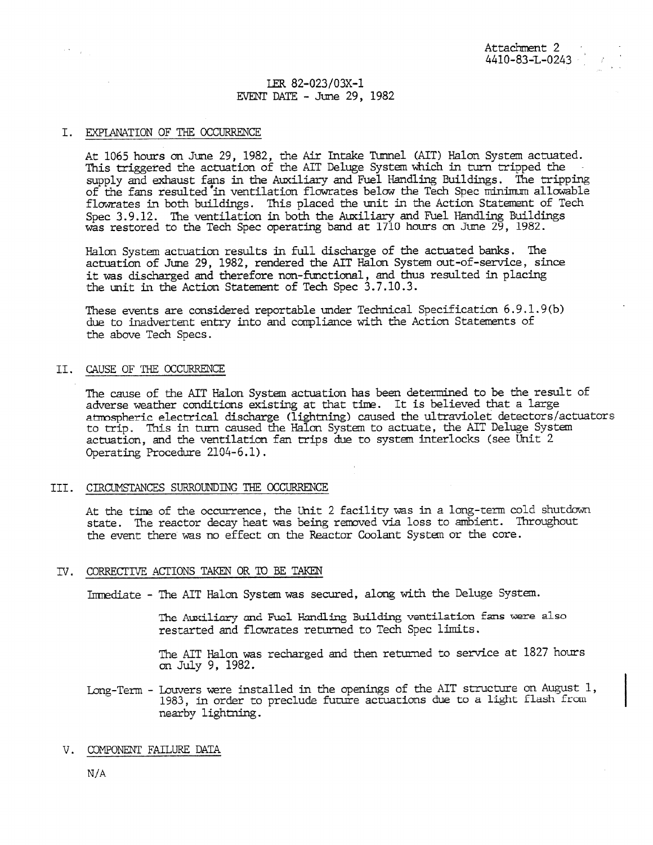# LER 82-023/03X-1 EVENT DATE - June 29, 1982

#### I. EXPIANNTION OF THE OCCURRENCE

At 1065 hours on June 29, 1982, the Air Intake Tunnel (AIT) Halon System actuated. This triggered the actuation of the AIT Deluge System which in turn tripped the supply and exhaust fans in the Auxiliary and Fuel Handling Buildings. The tripping of the fans resulted in ventilation flowrates below the Tech Spec miniman allowable flowrates in both buildings. This placed the unit in the Action Statement of Tech Spec 3.9.12. The ventilation in both the Auxiliary and Fuel Handling Buildings was restored to the Tech Spec operating band at 1710 hours on June 29, 1982.

Halon System actuation results in full discharge of the actuated banks. The actuation of June 29, 1982, rendered the AIT Halon System out-of-service, since it was discharged and therefore non-functional, and thus resulted in placing the unit in the Action Statement of Tech Spec 3.7.10.3.

These events are considered reportable under Technical Specification 6.9.1.9(b) due to inadvertent entry into and compliance with the Action Statements of the above Tech Specs.

#### II. CAUSE OF THE OCCURRENCE

The cause of the AIT Halon System actuation has been determined to be the result of adverse weather conditions existing at that time. It is believed that a large atmospheric electrical discharge (lightning) caused the ultraviolet detectors/actuators to trip. This in turn caused the Halon System to actuate, the AIT Deluge System actuation, and the ventilation fan trips due to system interlocks (see Unit 2 Operating Procedure 2104-6.1).

### III. CIRCUMSTANCES SURROUNDING THE OCCURRENCE

At the time of the occurrence, the Unit 2 facility was in a long-term cold shutdown state. The reactor decay heat was being removed via loss to ambient. Throughout the event there was no effect on the Reactor Coolant System or the core.

### IV. CORRECTIVE ACTIONS TAKEN OR TO BE TAKEN

Inmediate - The AIT Halon System was secured, along with the Deluge System.

The Auxiliary and Fuel Handling Building ventilation fans were also restarted and flowrates returned to Tech Spec limits.

The AIT Halon was recharged and then returned to service at 1827 hours on July 9, 1982.

Long-Term - Louvers were installed in the openings of the AIT structure on August 1, 1983, in order to preclude future actuations due to a light flash from nearby lightning.

# V. COMPONENT FAILURE DATA

N/A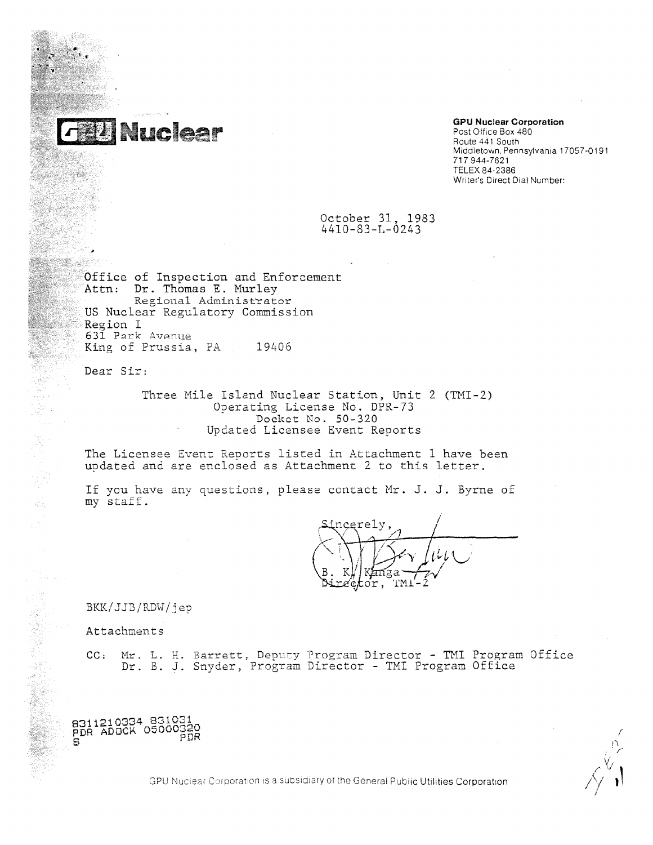

#### **GPU Nuclear Corporation**

Post Office Box 480 Route 441 South Middletown, Pennsylvania 17057-0191 717 944-7621 TELEX 84-2386 Writer's Direct Dial Number:

## October 31, 1983 4410-83-L-0243

Office of Inspection and Enforcement Attn: Dr. Thomas E. Murley Regional Administrator US Nuclear Regulatory Commission Region I 631 Perk Avenue King of Prussia, PA 19406

Dear Sir:

Three Mile Island Nuclear Station, Unit 2 (TMI-2) Operating License No. DPR-73 Docket No. 50-320 Updated Licensee Event Reports

The Licensee Event Reports listed in Attachment 1 have been updated and are enclosed as Attachment 2 to this letter.

If you have any questions, please contact Mr. J. J. Byrne of my staff.

ncerely. .or.

BKK/JJB/RDW/jep

Attachments

**CC; Mr.** L. H. Barrett, Deputy Program Director - TMI Program Office Dr. B. J. Snyder, Program Director - TMI Program Office



GPU Nuclear Corporation is a subsidiary of the General Public Utilities Corporation